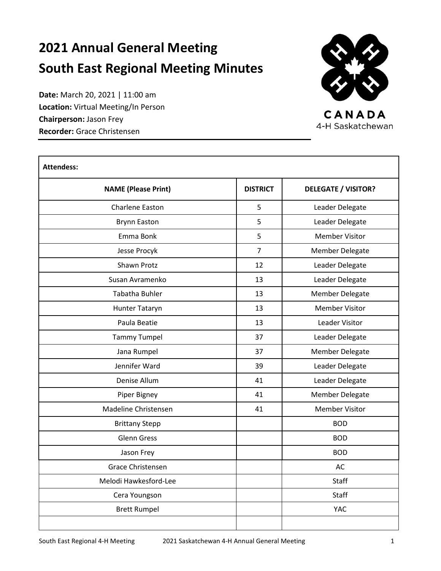# **2021 Annual General Meeting South East Regional Meeting Minutes**

**Date:** March 20, 2021 | 11:00 am **Location:** Virtual Meeting/In Person **Chairperson:** Jason Frey **Recorder:** Grace Christensen



CANADA 4-H Saskatchewan

| <b>Attendess:</b>          |                 |                            |  |
|----------------------------|-----------------|----------------------------|--|
| <b>NAME (Please Print)</b> | <b>DISTRICT</b> | <b>DELEGATE / VISITOR?</b> |  |
| Charlene Easton            | 5               | Leader Delegate            |  |
| <b>Brynn Easton</b>        | 5               | Leader Delegate            |  |
| Emma Bonk                  | 5               | <b>Member Visitor</b>      |  |
| Jesse Procyk               | $\overline{7}$  | Member Delegate            |  |
| Shawn Protz                | 12              | Leader Delegate            |  |
| Susan Avramenko            | 13              | Leader Delegate            |  |
| <b>Tabatha Buhler</b>      | 13              | <b>Member Delegate</b>     |  |
| Hunter Tataryn             | 13              | <b>Member Visitor</b>      |  |
| Paula Beatie               | 13              | Leader Visitor             |  |
| <b>Tammy Tumpel</b>        | 37              | Leader Delegate            |  |
| Jana Rumpel                | 37              | <b>Member Delegate</b>     |  |
| Jennifer Ward              | 39              | Leader Delegate            |  |
| Denise Allum               | 41              | Leader Delegate            |  |
| Piper Bigney               | 41              | Member Delegate            |  |
| Madeline Christensen       | 41              | <b>Member Visitor</b>      |  |
| <b>Brittany Stepp</b>      |                 | <b>BOD</b>                 |  |
| <b>Glenn Gress</b>         |                 | <b>BOD</b>                 |  |
| Jason Frey                 |                 | <b>BOD</b>                 |  |
| Grace Christensen          |                 | AC                         |  |
| Melodi Hawkesford-Lee      |                 | <b>Staff</b>               |  |
| Cera Youngson              |                 | <b>Staff</b>               |  |
| <b>Brett Rumpel</b>        |                 | <b>YAC</b>                 |  |
|                            |                 |                            |  |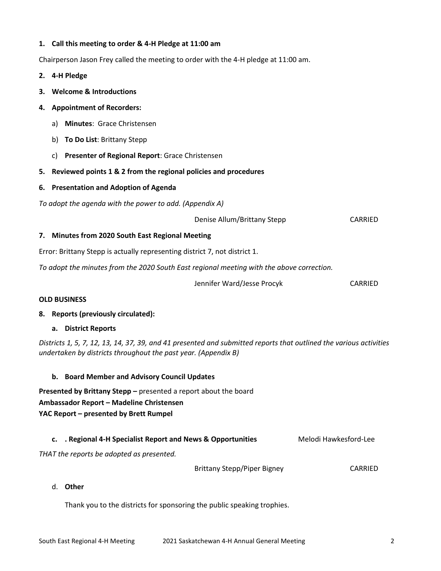## **1. Call this meeting to order & 4-H Pledge at 11:00 am**

Chairperson Jason Frey called the meeting to order with the 4-H pledge at 11:00 am.

- **2. 4-H Pledge**
- **3. Welcome & Introductions**
- **4. Appointment of Recorders:** 
	- a) **Minutes**: Grace Christensen
	- b) **To Do List**: Brittany Stepp
	- c) **Presenter of Regional Report**: Grace Christensen
- **5. Reviewed points 1 & 2 from the regional policies and procedures**
- **6. Presentation and Adoption of Agenda**

*To adopt the agenda with the power to add. (Appendix A)*

Denise Allum/Brittany Stepp CARRIED

#### **7. Minutes from 2020 South East Regional Meeting**

Error: Brittany Stepp is actually representing district 7, not district 1.

*To adopt the minutes from the 2020 South East regional meeting with the above correction.*

Jennifer Ward/Jesse Procyk CARRIED

#### **OLD BUSINESS**

#### **8. Reports (previously circulated):**

#### **a. District Reports**

*Districts 1, 5, 7, 12, 13, 14, 37, 39, and 41 presented and submitted reports that outlined the various activities undertaken by districts throughout the past year. (Appendix B)*

- **b. Board Member and Advisory Council Updates**
- **Presented by Brittany Stepp –** presented a report about the board **Ambassador Report – Madeline Christensen YAC Report – presented by Brett Rumpel**

#### **c. .** Regional 4-H Specialist Report and News & Opportunities Melodi Hawkesford-Lee

*THAT the reports be adopted as presented.*

Brittany Stepp/Piper Bigney CARRIED

#### d. **Other**

Thank you to the districts for sponsoring the public speaking trophies.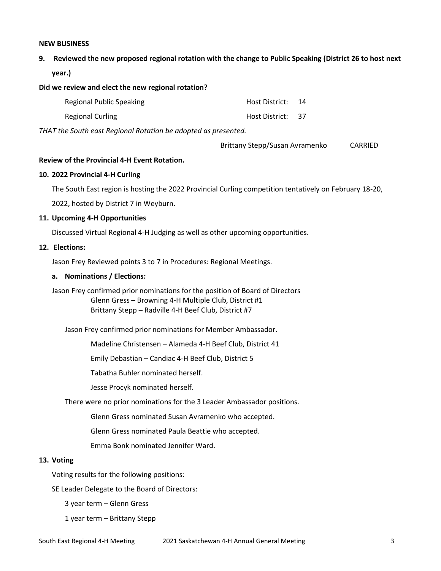#### **NEW BUSINESS**

**9. Reviewed the new proposed regional rotation with the change to Public Speaking (District 26 to host next year.)**

#### **Did we review and elect the new regional rotation?**

| Regional Public Speaking | Host District: | 14   |
|--------------------------|----------------|------|
| Regional Curling         | Host District: | - 37 |

*THAT the South east Regional Rotation be adopted as presented.*

| Brittany Stepp/Susan Avramenko | CARRIED |
|--------------------------------|---------|
|--------------------------------|---------|

#### **Review of the Provincial 4-H Event Rotation.**

#### **10. 2022 Provincial 4-H Curling**

The South East region is hosting the 2022 Provincial Curling competition tentatively on February 18-20,

2022, hosted by District 7 in Weyburn.

#### **11. Upcoming 4-H Opportunities**

Discussed Virtual Regional 4-H Judging as well as other upcoming opportunities.

#### **12. Elections:**

Jason Frey Reviewed points 3 to 7 in Procedures: Regional Meetings.

#### **a. Nominations / Elections:**

Jason Frey confirmed prior nominations for the position of Board of Directors Glenn Gress – Browning 4-H Multiple Club, District #1 Brittany Stepp – Radville 4-H Beef Club, District #7

Jason Frey confirmed prior nominations for Member Ambassador.

Madeline Christensen – Alameda 4-H Beef Club, District 41

Emily Debastian – Candiac 4-H Beef Club, District 5

Tabatha Buhler nominated herself.

Jesse Procyk nominated herself.

There were no prior nominations for the 3 Leader Ambassador positions.

Glenn Gress nominated Susan Avramenko who accepted.

Glenn Gress nominated Paula Beattie who accepted.

Emma Bonk nominated Jennifer Ward.

#### **13. Voting**

Voting results for the following positions:

SE Leader Delegate to the Board of Directors:

3 year term – Glenn Gress

1 year term – Brittany Stepp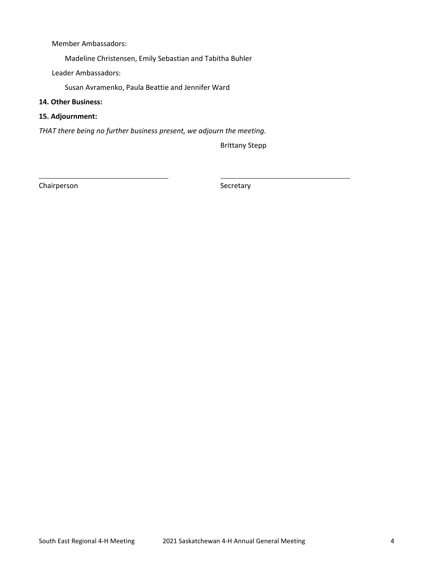Member Ambassadors:

Madeline Christensen, Emily Sebastian and Tabitha Buhler

Leader Ambassadors:

Susan Avramenko, Paula Beattie and Jennifer Ward

- **14. Other Business:**
- **15. Adjournment:**

*THAT there being no further business present, we adjourn the meeting.*

Brittany Stepp

Chairperson Secretary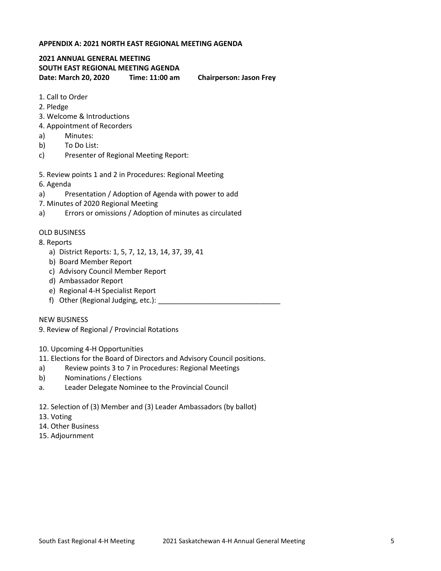### **APPENDIX A: 2021 NORTH EAST REGIONAL MEETING AGENDA**

## **2021 ANNUAL GENERAL MEETING SOUTH EAST REGIONAL MEETING AGENDA Date: March 20, 2020 Time: 11:00 am Chairperson: Jason Frey**

- 1. Call to Order
- 2. Pledge
- 3. Welcome & Introductions
- 4. Appointment of Recorders
- a) Minutes:
- b) To Do List:
- c) Presenter of Regional Meeting Report:
- 5. Review points 1 and 2 in Procedures: Regional Meeting
- 6. Agenda
- a) Presentation / Adoption of Agenda with power to add
- 7. Minutes of 2020 Regional Meeting
- a) Errors or omissions / Adoption of minutes as circulated

#### OLD BUSINESS

- 8. Reports
	- a) District Reports: 1, 5, 7, 12, 13, 14, 37, 39, 41
	- b) Board Member Report
	- c) Advisory Council Member Report
	- d) Ambassador Report
	- e) Regional 4-H Specialist Report
	- f) Other (Regional Judging, etc.):

NEW BUSINESS

9. Review of Regional / Provincial Rotations

- 10. Upcoming 4-H Opportunities
- 11. Elections for the Board of Directors and Advisory Council positions.
- a) Review points 3 to 7 in Procedures: Regional Meetings
- b) Nominations / Elections
- a. Leader Delegate Nominee to the Provincial Council
- 12. Selection of (3) Member and (3) Leader Ambassadors (by ballot)
- 13. Voting
- 14. Other Business
- 15. Adjournment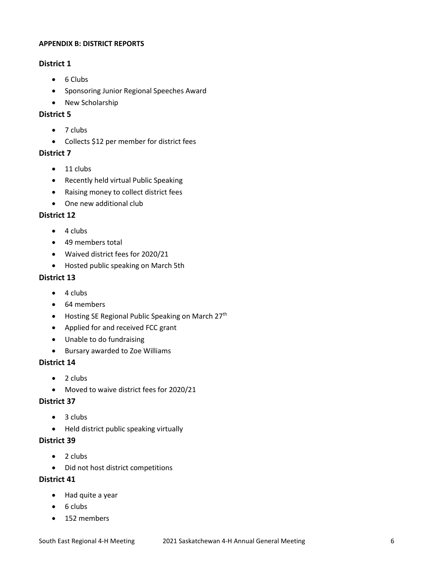## **APPENDIX B: DISTRICT REPORTS**

# **District 1**

- 6 Clubs
- Sponsoring Junior Regional Speeches Award
- New Scholarship

# **District 5**

- $\bullet$  7 clubs
- Collects \$12 per member for district fees

## **District 7**

- $\bullet$  11 clubs
- Recently held virtual Public Speaking
- Raising money to collect district fees
- One new additional club

## **District 12**

- $\bullet$  4 clubs
- 49 members total
- Waived district fees for 2020/21
- Hosted public speaking on March 5th

## **District 13**

- $\bullet$  4 clubs
- 64 members
- Hosting SE Regional Public Speaking on March 27<sup>th</sup>
- Applied for and received FCC grant
- Unable to do fundraising
- Bursary awarded to Zoe Williams

## **District 14**

- $\bullet$  2 clubs
- Moved to waive district fees for 2020/21

## **District 37**

- $\bullet$  3 clubs
- Held district public speaking virtually

# **District 39**

- $\bullet$  2 clubs
- Did not host district competitions

## **District 41**

- Had quite a year
- $\bullet$  6 clubs
- 152 members